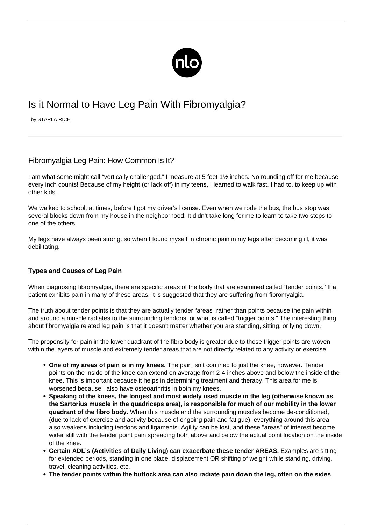

# Is it Normal to Have Leg Pain With Fibromyalgia?

by STARLA RICH

## Fibromyalgia Leg Pain: How Common Is It?

I am what some might call "vertically challenged." I measure at 5 feet 1½ inches. No rounding off for me because every inch counts! Because of my height (or lack off) in my teens, I learned to walk fast. I had to, to keep up with other kids.

We walked to school, at times, before I got my driver's license. Even when we rode the bus, the bus stop was several blocks down from my house in the neighborhood. It didn't take long for me to learn to take two steps to one of the others.

My legs have always been strong, so when I found myself in chronic pain in my legs after becoming ill, it was debilitating.

### **Types and Causes of Leg Pain**

When diagnosing fibromyalgia, there are specific areas of the body that are examined called "[tender points.](/tender-points/)" If a patient exhibits pain in many of these areas, it is suggested that they are suffering from fibromyalgia.

The truth about tender points is that they are actually tender "areas" rather than points because the pain within and around a muscle radiates to the surrounding tendons, or what is called ["trigger points.](/trigger-points/)" The interesting thing about fibromyalgia related leg pain is that it doesn't matter whether you are standing, sitting, or lying down.

The propensity for pain in the lower quadrant of the fibro body is greater due to those trigger points are woven within the layers of muscle and extremely tender areas that are not directly related to any activity or exercise.

- **One of my areas of pain is in my knees.** The pain isn't confined to just the knee, however. Tender points on the inside of the knee can extend on average from 2-4 inches above and below the inside of the knee. This is important because it helps in determining treatment and therapy. This area for me is worsened because I also have osteoarthritis in both my knees.
- **Speaking of the knees, the longest and most widely used muscle in the leg (otherwise known as the Sartorius muscle in the quadriceps area), is responsible for much of our mobility in the lower quadrant of the fibro body.** When this muscle and the surrounding muscles become de-conditioned, (due to lack of exercise and activity because of ongoing pain and fatigue), everything around this area also weakens including tendons and ligaments. Agility can be lost, and these "areas" of interest become wider still with the tender point pain spreading both above and below the actual point location on the inside of the knee.
- **Certain ADL's (Activities of Daily Living) can exacerbate these tender AREAS.** Examples are sitting for extended periods, standing in one place, displacement OR shifting of weight while standing, driving, travel, cleaning activities, etc.
- **The tender points within the buttock area can also radiate pain down the leg, often on the sides**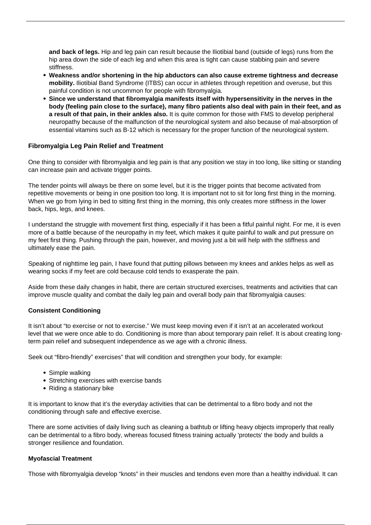**and back of legs.** Hip and leg pain can result because the Iliotibial band (outside of legs) runs from the hip area down the side of each leg and when this area is tight can cause stabbing pain and severe stiffness.

- **Weakness and/or shortening in the hip abductors can also cause extreme tightness and decrease mobility.** Iliotibial Band Syndrome (ITBS) can occur in athletes through repetition and overuse, but this painful condition is not uncommon for people with fibromyalgia.
- **Since we understand that fibromyalgia manifests itself with hypersensitivity in the nerves in the body (feeling pain close to the surface), many fibro patients also deal with pain in their feet, and as a result of that pain, in their ankles also.** It is quite common for those with FMS to develop peripheral neuropathy because of the malfunction of the neurological system and also because of mal-absorption of essential vitamins such as B-12 which is necessary for the proper function of the neurological system.

#### **Fibromyalgia Leg Pain Relief and Treatment**

One thing to consider with fibromyalgia and leg pain is that any position we stay in too long, like sitting or standing can increase pain and activate trigger points.

The tender points will always be there on some level, but it is the trigger points that become activated from repetitive movements or being in one position too long. It is important not to sit for long first thing in the morning. When we go from lying in bed to sitting first thing in the morning, this only creates more stiffness in the lower back, hips, legs, and knees.

I understand the struggle with movement first thing, especially if it has been a fitful painful night. For me, it is even more of a battle because of the neuropathy in my feet, which makes it quite painful to walk and put pressure on my feet first thing. Pushing through the pain, however, and moving just a bit will help with the stiffness and ultimately ease the pain.

Speaking of nighttime leg pain, I have found that putting pillows between my knees and ankles helps as well as wearing socks if my feet are cold because cold tends to exasperate the pain.

Aside from these daily changes in habit, there are certain structured exercises, treatments and activities that can improve muscle quality and combat the daily leg pain and overall body pain that fibromyalgia causes:

#### **Consistent Conditioning**

It isn't about "to exercise or not to exercise." We must keep moving even if it isn't at an accelerated workout level that we were once able to do. Conditioning is more than about temporary pain relief. It is about creating longterm pain relief and subsequent independence as we age with a chronic illness.

Seek out "fibro-friendly" exercises" that will condition and strengthen your body, for example:

- Simple walking
- Stretching exercises with exercise bands
- Riding a stationary bike

It is important to know that it's the everyday activities that can be detrimental to a fibro body and not the conditioning through safe and effective exercise.

There are some activities of daily living such as cleaning a bathtub or lifting heavy objects improperly that really can be detrimental to a fibro body, whereas focused fitness training actually 'protects' the body and builds a stronger resilience and foundation.

#### **Myofascial Treatment**

Those with fibromyalgia develop "knots" in their muscles and tendons even more than a healthy individual. It can